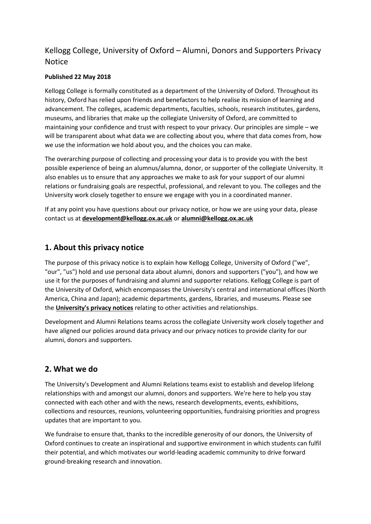# Kellogg College, University of Oxford – Alumni, Donors and Supporters Privacy Notice

### **Published 22 May 2018**

Kellogg College is formally constituted as a department of the University of Oxford. Throughout its history, Oxford has relied upon friends and benefactors to help realise its mission of learning and advancement. The colleges, academic departments, faculties, schools, research institutes, gardens, museums, and libraries that make up the collegiate University of Oxford, are committed to maintaining your confidence and trust with respect to your privacy. Our principles are simple – we will be transparent about what data we are collecting about you, where that data comes from, how we use the information we hold about you, and the choices you can make.

The overarching purpose of collecting and processing your data is to provide you with the best possible experience of being an alumnus/alumna, donor, or supporter of the collegiate University. It also enables us to ensure that any approaches we make to ask for your support of our alumni relations or fundraising goals are respectful, professional, and relevant to you. The colleges and the University work closely together to ensure we engage with you in a coordinated manner.

If at any point you have questions about our privacy notice, or how we are using your data, please contact us at **[development@kellogg.ox.ac.uk](mailto:development@kellogg.ox.ac.uk)** or **[alumni@kellogg.ox.ac.uk](mailto:alumni@kellogg.ox.ac.uk)**

## **[1. About this privacy notice](https://www.alumniweb.ox.ac.uk/oao/kellogg-privacy-notice#privacy1)**

The purpose of this privacy notice is to explain how Kellogg College, University of Oxford ("we", "our", "us") hold and use personal data about alumni, donors and supporters ("you"), and how we use it for the purposes of fundraising and alumni and supporter relations. Kellogg College is part of the University of Oxford, which encompasses the University's central and international offices (North America, China and Japan); academic departments, gardens, libraries, and museums. Please see the **[University's privacy notices](https://www1.admin.ox.ac.uk/councilsec/compliance/gdpr/privacynotices/)** relating to other activities and relationships.

Development and Alumni Relations teams across the collegiate University work closely together and have aligned our policies around data privacy and our privacy notices to provide clarity for our alumni, donors and supporters.

## **[2. What we do](https://www.alumniweb.ox.ac.uk/oao/kellogg-privacy-notice#privacy2)**

The University's Development and Alumni Relations teams exist to establish and develop lifelong relationships with and amongst our alumni, donors and supporters. We're here to help you stay connected with each other and with the news, research developments, events, exhibitions, collections and resources, reunions, volunteering opportunities, fundraising priorities and progress updates that are important to you.

We fundraise to ensure that, thanks to the incredible generosity of our donors, the University of Oxford continues to create an inspirational and supportive environment in which students can fulfil their potential, and which motivates our world-leading academic community to drive forward ground-breaking research and innovation.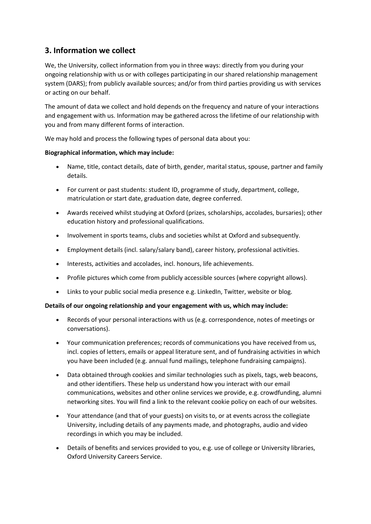# **[3. Information we collect](https://www.alumniweb.ox.ac.uk/oao/kellogg-privacy-notice#privacy3)**

We, the University, collect information from you in three ways: directly from you during your ongoing relationship with us or with colleges participating in our shared relationship management system (DARS); from publicly available sources; and/or from third parties providing us with services or acting on our behalf.

The amount of data we collect and hold depends on the frequency and nature of your interactions and engagement with us. Information may be gathered across the lifetime of our relationship with you and from many different forms of interaction.

We may hold and process the following types of personal data about you:

### **Biographical information, which may include:**

- Name, title, contact details, date of birth, gender, marital status, spouse, partner and family details.
- For current or past students: student ID, programme of study, department, college, matriculation or start date, graduation date, degree conferred.
- Awards received whilst studying at Oxford (prizes, scholarships, accolades, bursaries); other education history and professional qualifications.
- Involvement in sports teams, clubs and societies whilst at Oxford and subsequently.
- Employment details (incl. salary/salary band), career history, professional activities.
- Interests, activities and accolades, incl. honours, life achievements.
- Profile pictures which come from publicly accessible sources (where copyright allows).
- Links to your public social media presence e.g. LinkedIn, Twitter, website or blog.

### **Details of our ongoing relationship and your engagement with us, which may include:**

- Records of your personal interactions with us (e.g. correspondence, notes of meetings or conversations).
- Your communication preferences; records of communications you have received from us, incl. copies of letters, emails or appeal literature sent, and of fundraising activities in which you have been included (e.g. annual fund mailings, telephone fundraising campaigns).
- Data obtained through cookies and similar technologies such as pixels, tags, web beacons, and other identifiers. These help us understand how you interact with our email communications, websites and other online services we provide, e.g. crowdfunding, alumni networking sites. You will find a link to the relevant cookie policy on each of our websites.
- Your attendance (and that of your guests) on visits to, or at events across the collegiate University, including details of any payments made, and photographs, audio and video recordings in which you may be included.
- Details of benefits and services provided to you, e.g. use of college or University libraries, Oxford University Careers Service.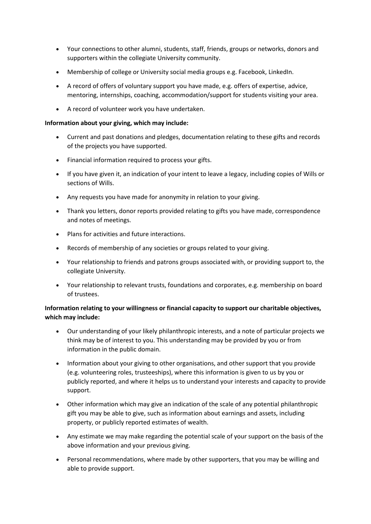- Your connections to other alumni, students, staff, friends, groups or networks, donors and supporters within the collegiate University community.
- Membership of college or University social media groups e.g. Facebook, LinkedIn.
- A record of offers of voluntary support you have made, e.g. offers of expertise, advice, mentoring, internships, coaching, accommodation/support for students visiting your area.
- A record of volunteer work you have undertaken.

### **Information about your giving, which may include:**

- Current and past donations and pledges, documentation relating to these gifts and records of the projects you have supported.
- Financial information required to process your gifts.
- If you have given it, an indication of your intent to leave a legacy, including copies of Wills or sections of Wills.
- Any requests you have made for anonymity in relation to your giving.
- Thank you letters, donor reports provided relating to gifts you have made, correspondence and notes of meetings.
- Plans for activities and future interactions.
- Records of membership of any societies or groups related to your giving.
- Your relationship to friends and patrons groups associated with, or providing support to, the collegiate University.
- Your relationship to relevant trusts, foundations and corporates, e.g. membership on board of trustees.

## **Information relating to your willingness or financial capacity to support our charitable objectives, which may include:**

- Our understanding of your likely philanthropic interests, and a note of particular projects we think may be of interest to you. This understanding may be provided by you or from information in the public domain.
- Information about your giving to other organisations, and other support that you provide (e.g. volunteering roles, trusteeships), where this information is given to us by you or publicly reported, and where it helps us to understand your interests and capacity to provide support.
- Other information which may give an indication of the scale of any potential philanthropic gift you may be able to give, such as information about earnings and assets, including property, or publicly reported estimates of wealth.
- Any estimate we may make regarding the potential scale of your support on the basis of the above information and your previous giving.
- Personal recommendations, where made by other supporters, that you may be willing and able to provide support.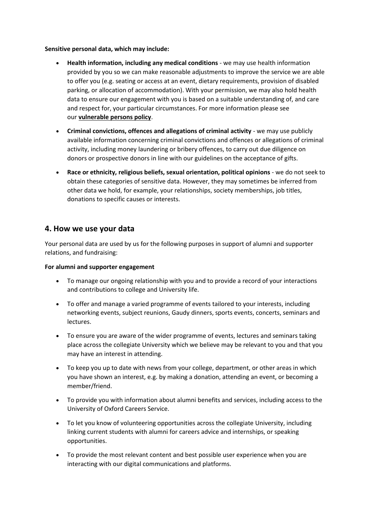### **Sensitive personal data, which may include:**

- **Health information, including any medical conditions** we may use health information provided by you so we can make reasonable adjustments to improve the service we are able to offer you (e.g. seating or access at an event, dietary requirements, provision of disabled parking, or allocation of accommodation). With your permission, we may also hold health data to ensure our engagement with you is based on a suitable understanding of, and care and respect for, your particular circumstances. For more information please see our **[vulnerable persons policy](https://www.campaign.ox.ac.uk/file/donate/regulations/Vulnerable-circumstances-policy-v3.pdf)**.
- **Criminal convictions, offences and allegations of criminal activity** we may use publicly available information concerning criminal convictions and offences or allegations of criminal activity, including money laundering or bribery offences, to carry out due diligence on donors or prospective donors in line with our guidelines on the acceptance of gifts.
- **Race or ethnicity, religious beliefs, sexual orientation, political opinions** we do not seek to obtain these categories of sensitive data. However, they may sometimes be inferred from other data we hold, for example, your relationships, society memberships, job titles, donations to specific causes or interests.

## **[4. How we use your data](https://www.alumniweb.ox.ac.uk/oao/kellogg-privacy-notice#privacy4)**

Your personal data are used by us for the following purposes in support of alumni and supporter relations, and fundraising:

### **For alumni and supporter engagement**

- To manage our ongoing relationship with you and to provide a record of your interactions and contributions to college and University life.
- To offer and manage a varied programme of events tailored to your interests, including networking events, subject reunions, Gaudy dinners, sports events, concerts, seminars and lectures.
- To ensure you are aware of the wider programme of events, lectures and seminars taking place across the collegiate University which we believe may be relevant to you and that you may have an interest in attending.
- To keep you up to date with news from your college, department, or other areas in which you have shown an interest, e.g. by making a donation, attending an event, or becoming a member/friend.
- To provide you with information about alumni benefits and services, including access to the University of Oxford Careers Service.
- To let you know of volunteering opportunities across the collegiate University, including linking current students with alumni for careers advice and internships, or speaking opportunities.
- To provide the most relevant content and best possible user experience when you are interacting with our digital communications and platforms.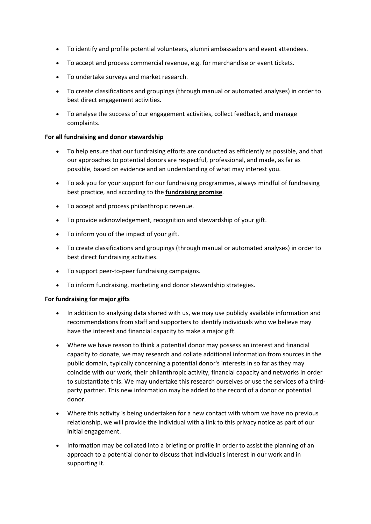- To identify and profile potential volunteers, alumni ambassadors and event attendees.
- To accept and process commercial revenue, e.g. for merchandise or event tickets.
- To undertake surveys and market research.
- To create classifications and groupings (through manual or automated analyses) in order to best direct engagement activities.
- To analyse the success of our engagement activities, collect feedback, and manage complaints.

### **For all fundraising and donor stewardship**

- To help ensure that our fundraising efforts are conducted as efficiently as possible, and that our approaches to potential donors are respectful, professional, and made, as far as possible, based on evidence and an understanding of what may interest you.
- To ask you for your support for our fundraising programmes, always mindful of fundraising best practice, and according to the **[fundraising promise](https://www.fundraisingregulator.org.uk/code-of-fundraising-practice/the-fundraising-promise/)**.
- To accept and process philanthropic revenue.
- To provide acknowledgement, recognition and stewardship of your gift.
- To inform you of the impact of your gift.
- To create classifications and groupings (through manual or automated analyses) in order to best direct fundraising activities.
- To support peer-to-peer fundraising campaigns.
- To inform fundraising, marketing and donor stewardship strategies.

### **For fundraising for major gifts**

- In addition to analysing data shared with us, we may use publicly available information and recommendations from staff and supporters to identify individuals who we believe may have the interest and financial capacity to make a major gift.
- Where we have reason to think a potential donor may possess an interest and financial capacity to donate, we may research and collate additional information from sources in the public domain, typically concerning a potential donor's interests in so far as they may coincide with our work, their philanthropic activity, financial capacity and networks in order to substantiate this. We may undertake this research ourselves or use the services of a thirdparty partner. This new information may be added to the record of a donor or potential donor.
- Where this activity is being undertaken for a new contact with whom we have no previous relationship, we will provide the individual with a link to this privacy notice as part of our initial engagement.
- Information may be collated into a briefing or profile in order to assist the planning of an approach to a potential donor to discuss that individual's interest in our work and in supporting it.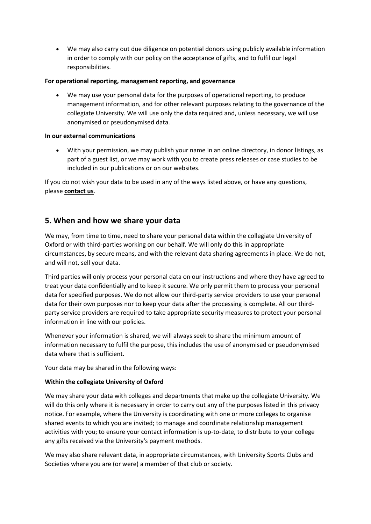We may also carry out due diligence on potential donors using publicly available information in order to comply with our policy on the acceptance of gifts, and to fulfil our legal responsibilities.

### **For operational reporting, management reporting, and governance**

 We may use your personal data for the purposes of operational reporting, to produce management information, and for other relevant purposes relating to the governance of the collegiate University. We will use only the data required and, unless necessary, we will use anonymised or pseudonymised data.

### **In our external communications**

 With your permission, we may publish your name in an online directory, in donor listings, as part of a guest list, or we may work with you to create press releases or case studies to be included in our publications or on our websites.

If you do not wish your data to be used in any of the ways listed above, or have any questions, please **[contact us](https://www.alumniweb.ox.ac.uk/oao/kellogg-privacy-notice#slide-block10)**.

## **[5. When and how we share your data](https://www.alumniweb.ox.ac.uk/oao/kellogg-privacy-notice#privacy5)**

We may, from time to time, need to share your personal data within the collegiate University of Oxford or with third-parties working on our behalf. We will only do this in appropriate circumstances, by secure means, and with the relevant data sharing agreements in place. We do not, and will not, sell your data.

Third parties will only process your personal data on our instructions and where they have agreed to treat your data confidentially and to keep it secure. We only permit them to process your personal data for specified purposes. We do not allow our third-party service providers to use your personal data for their own purposes nor to keep your data after the processing is complete. All our thirdparty service providers are required to take appropriate security measures to protect your personal information in line with our policies.

Whenever your information is shared, we will always seek to share the minimum amount of information necessary to fulfil the purpose, this includes the use of anonymised or pseudonymised data where that is sufficient.

Your data may be shared in the following ways:

## **Within the collegiate University of Oxford**

We may share your data with colleges and departments that make up the collegiate University. We will do this only where it is necessary in order to carry out any of the purposes listed in this privacy notice. For example, where the University is coordinating with one or more colleges to organise shared events to which you are invited; to manage and coordinate relationship management activities with you; to ensure your contact information is up-to-date, to distribute to your college any gifts received via the University's payment methods.

We may also share relevant data, in appropriate circumstances, with University Sports Clubs and Societies where you are (or were) a member of that club or society.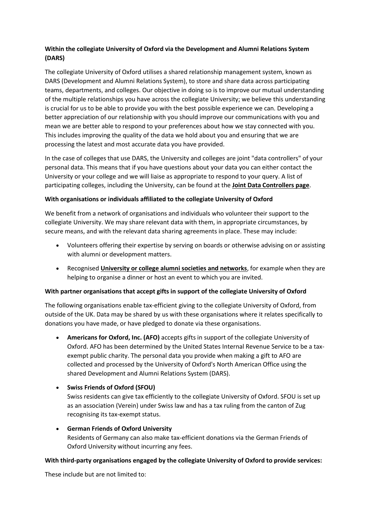## **Within the collegiate University of Oxford via the Development and Alumni Relations System (DARS)**

The collegiate University of Oxford utilises a shared relationship management system, known as DARS (Development and Alumni Relations System), to store and share data across participating teams, departments, and colleges. Our objective in doing so is to improve our mutual understanding of the multiple relationships you have across the collegiate University; we believe this understanding is crucial for us to be able to provide you with the best possible experience we can. Developing a better appreciation of our relationship with you should improve our communications with you and mean we are better able to respond to your preferences about how we stay connected with you. This includes improving the quality of the data we hold about you and ensuring that we are processing the latest and most accurate data you have provided.

In the case of colleges that use DARS, the University and colleges are joint "data controllers" of your personal data. This means that if you have questions about your data you can either contact the University or your college and we will liaise as appropriate to respond to your query. A list of participating colleges, including the University, can be found at the **[Joint Data Controllers page](https://www.alumniweb.ox.ac.uk/oao/joint-data-controllers)**.

### **With organisations or individuals affiliated to the collegiate University of Oxford**

We benefit from a network of organisations and individuals who volunteer their support to the collegiate University. We may share relevant data with them, in appropriate circumstances, by secure means, and with the relevant data sharing agreements in place. These may include:

- Volunteers offering their expertise by serving on boards or otherwise advising on or assisting with alumni or development matters.
- Recognised **[University or college alumni societies and networks](https://www.alumni.ox.ac.uk/alumni-groups)**, for example when they are helping to organise a dinner or host an event to which you are invited.

### **With partner organisations that accept gifts in support of the collegiate University of Oxford**

The following organisations enable tax-efficient giving to the collegiate University of Oxford, from outside of the UK. Data may be shared by us with these organisations where it relates specifically to donations you have made, or have pledged to donate via these organisations.

 **Americans for Oxford, Inc. (AFO)** accepts gifts in support of the collegiate University of Oxford. AFO has been determined by the United States Internal Revenue Service to be a taxexempt public charity. The personal data you provide when making a gift to AFO are collected and processed by the University of Oxford's North American Office using the shared Development and Alumni Relations System (DARS).

## **Swiss Friends of Oxford (SFOU)**

Swiss residents can give tax efficiently to the collegiate University of Oxford. SFOU is set up as an association (Verein) under Swiss law and has a tax ruling from the canton of Zug recognising its tax-exempt status.

### **German Friends of Oxford University**

Residents of Germany can also make tax-efficient donations via the German Friends of Oxford University without incurring any fees.

### **With third-party organisations engaged by the collegiate University of Oxford to provide services:**

These include but are not limited to: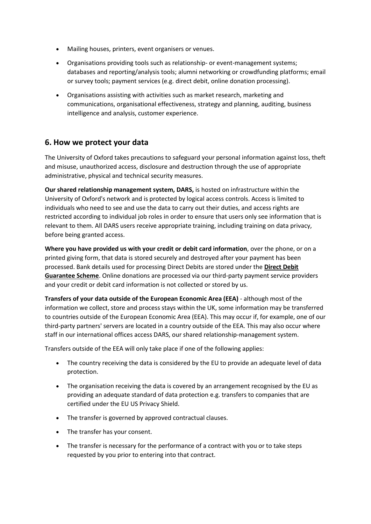- Mailing houses, printers, event organisers or venues.
- Organisations providing tools such as relationship- or event-management systems; databases and reporting/analysis tools; alumni networking or crowdfunding platforms; email or survey tools; payment services (e.g. direct debit, online donation processing).
- Organisations assisting with activities such as market research, marketing and communications, organisational effectiveness, strategy and planning, auditing, business intelligence and analysis, customer experience.

## **[6. How we protect your data](https://www.alumniweb.ox.ac.uk/oao/kellogg-privacy-notice#privacy6)**

The University of Oxford takes precautions to safeguard your personal information against loss, theft and misuse, unauthorized access, disclosure and destruction through the use of appropriate administrative, physical and technical security measures.

**Our shared relationship management system, DARS,** is hosted on infrastructure within the University of Oxford's network and is protected by logical access controls. Access is limited to individuals who need to see and use the data to carry out their duties, and access rights are restricted according to individual job roles in order to ensure that users only see information that is relevant to them. All DARS users receive appropriate training, including training on data privacy, before being granted access.

**Where you have provided us with your credit or debit card information**, over the phone, or on a printed giving form, that data is stored securely and destroyed after your payment has been processed. Bank details used for processing Direct Debits are stored under the **[Direct Debit](https://www.directdebit.co.uk/DirectDebitExplained/pages/directdebitguarantee.aspx)  [Guarantee Scheme](https://www.directdebit.co.uk/DirectDebitExplained/pages/directdebitguarantee.aspx)**. Online donations are processed via our third-party payment service providers and your credit or debit card information is not collected or stored by us.

**Transfers of your data outside of the European Economic Area (EEA)** - although most of the information we collect, store and process stays within the UK, some information may be transferred to countries outside of the European Economic Area (EEA). This may occur if, for example, one of our third-party partners' servers are located in a country outside of the EEA. This may also occur where staff in our international offices access DARS, our shared relationship-management system.

Transfers outside of the EEA will only take place if one of the following applies:

- The country receiving the data is considered by the EU to provide an adequate level of data protection.
- The organisation receiving the data is covered by an arrangement recognised by the EU as providing an adequate standard of data protection e.g. transfers to companies that are certified under the EU US Privacy Shield.
- The transfer is governed by approved contractual clauses.
- The transfer has your consent.
- The transfer is necessary for the performance of a contract with you or to take steps requested by you prior to entering into that contract.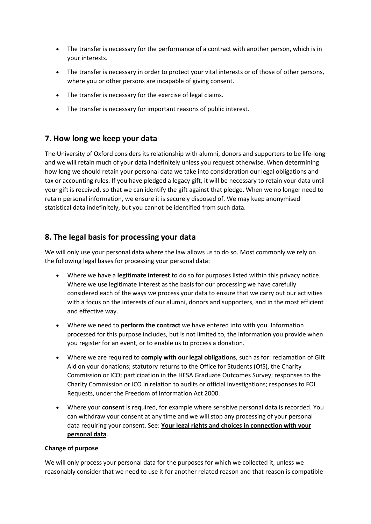- The transfer is necessary for the performance of a contract with another person, which is in your interests.
- The transfer is necessary in order to protect your vital interests or of those of other persons, where you or other persons are incapable of giving consent.
- The transfer is necessary for the exercise of legal claims.
- The transfer is necessary for important reasons of public interest.

## **[7. How long we keep your data](https://www.alumniweb.ox.ac.uk/oao/kellogg-privacy-notice#privacy7)**

The University of Oxford considers its relationship with alumni, donors and supporters to be life-long and we will retain much of your data indefinitely unless you request otherwise. When determining how long we should retain your personal data we take into consideration our legal obligations and tax or accounting rules. If you have pledged a legacy gift, it will be necessary to retain your data until your gift is received, so that we can identify the gift against that pledge. When we no longer need to retain personal information, we ensure it is securely disposed of. We may keep anonymised statistical data indefinitely, but you cannot be identified from such data.

# **[8. The legal basis for processing your data](https://www.alumniweb.ox.ac.uk/oao/kellogg-privacy-notice#privacy8)**

We will only use your personal data where the law allows us to do so. Most commonly we rely on the following legal bases for processing your personal data:

- Where we have a **legitimate interest** to do so for purposes listed within this privacy notice. Where we use legitimate interest as the basis for our processing we have carefully considered each of the ways we process your data to ensure that we carry out our activities with a focus on the interests of our alumni, donors and supporters, and in the most efficient and effective way.
- Where we need to **perform the contract** we have entered into with you. Information processed for this purpose includes, but is not limited to, the information you provide when you register for an event, or to enable us to process a donation.
- Where we are required to **comply with our legal obligations**, such as for: reclamation of Gift Aid on your donations; statutory returns to the Office for Students (OfS), the Charity Commission or ICO; participation in the HESA Graduate Outcomes Survey; responses to the Charity Commission or ICO in relation to audits or official investigations; responses to FOI Requests, under the Freedom of Information Act 2000.
- Where your **consent** is required, for example where sensitive personal data is recorded. You can withdraw your consent at any time and we will stop any processing of your personal data requiring your consent. See: **[Your legal rights and choices in connection with your](https://www.alumniweb.ox.ac.uk/oao/kellogg-privacy-notice#slide-block9)  [personal data](https://www.alumniweb.ox.ac.uk/oao/kellogg-privacy-notice#slide-block9)**.

### **Change of purpose**

We will only process your personal data for the purposes for which we collected it, unless we reasonably consider that we need to use it for another related reason and that reason is compatible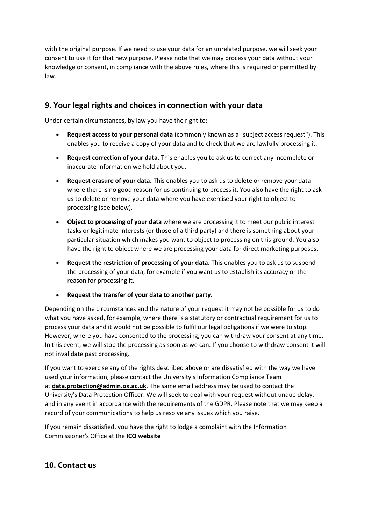with the original purpose. If we need to use your data for an unrelated purpose, we will seek your consent to use it for that new purpose. Please note that we may process your data without your knowledge or consent, in compliance with the above rules, where this is required or permitted by law.

# **[9. Your legal rights and choices in connection with your data](https://www.alumniweb.ox.ac.uk/oao/kellogg-privacy-notice#privacy9)**

Under certain circumstances, by law you have the right to:

- **Request access to your personal data** (commonly known as a "subject access request"). This enables you to receive a copy of your data and to check that we are lawfully processing it.
- **Request correction of your data.** This enables you to ask us to correct any incomplete or inaccurate information we hold about you.
- **Request erasure of your data.** This enables you to ask us to delete or remove your data where there is no good reason for us continuing to process it. You also have the right to ask us to delete or remove your data where you have exercised your right to object to processing (see below).
- **Object to processing of your data** where we are processing it to meet our public interest tasks or legitimate interests (or those of a third party) and there is something about your particular situation which makes you want to object to processing on this ground. You also have the right to object where we are processing your data for direct marketing purposes.
- **Request the restriction of processing of your data.** This enables you to ask us to suspend the processing of your data, for example if you want us to establish its accuracy or the reason for processing it.
- **Request the transfer of your data to another party.**

Depending on the circumstances and the nature of your request it may not be possible for us to do what you have asked, for example, where there is a statutory or contractual requirement for us to process your data and it would not be possible to fulfil our legal obligations if we were to stop. However, where you have consented to the processing, you can withdraw your consent at any time. In this event, we will stop the processing as soon as we can. If you choose to withdraw consent it will not invalidate past processing.

If you want to exercise any of the rights described above or are dissatisfied with the way we have used your information, please contact the University's Information Compliance Team at **[data.protection@admin.ox.ac.uk](mailto:data.protection@admin.ox.ac.uk)**. The same email address may be used to contact the University's Data Protection Officer. We will seek to deal with your request without undue delay, and in any event in accordance with the requirements of the GDPR. Please note that we may keep a record of your communications to help us resolve any issues which you raise.

If you remain dissatisfied, you have the right to lodge a complaint with the Information Commissioner's Office at the **[ICO website](https://ico.org.uk/concerns/)**

## **[10. Contact us](https://www.alumniweb.ox.ac.uk/oao/kellogg-privacy-notice#privacy10)**